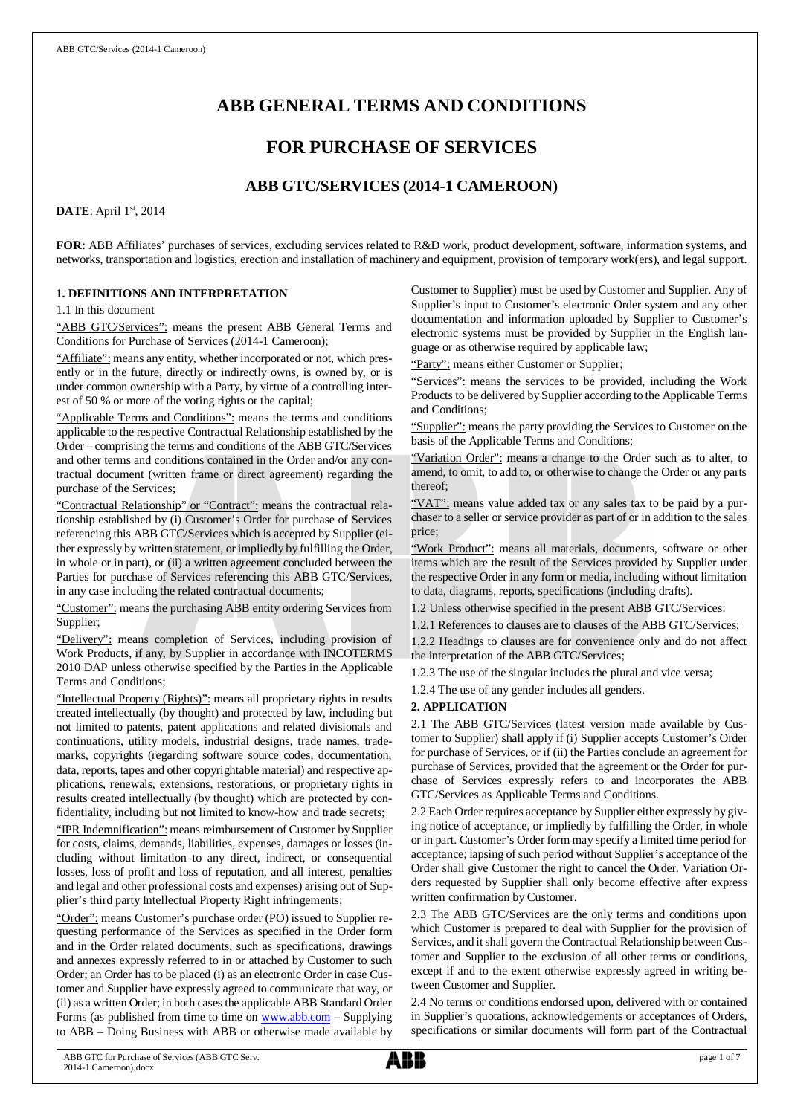# **ABB GENERAL TERMS AND CONDITIONS**

# **FOR PURCHASE OF SERVICES**

## **ABB GTC/SERVICES (2014-1 CAMEROON)**

**DATE**: April 1st, 2014

**FOR:** ABB Affiliates' purchases of services, excluding services related to R&D work, product development, software, information systems, and networks, transportation and logistics, erection and installation of machinery and equipment, provision of temporary work(ers), and legal support.

## **1. DEFINITIONS AND INTERPRETATION**

1.1 In this document

"ABB GTC/Services": means the present ABB General Terms and Conditions for Purchase of Services (2014-1 Cameroon);

"Affiliate": means any entity, whether incorporated or not, which presently or in the future, directly or indirectly owns, is owned by, or is under common ownership with a Party, by virtue of a controlling interest of 50 % or more of the voting rights or the capital;

"Applicable Terms and Conditions": means the terms and conditions applicable to the respective Contractual Relationship established by the Order – comprising the terms and conditions of the ABB GTC/Services and other terms and conditions contained in the Order and/or any contractual document (written frame or direct agreement) regarding the purchase of the Services;

"Contractual Relationship" or "Contract": means the contractual relationship established by (i) Customer's Order for purchase of Services referencing this ABB GTC/Services which is accepted by Supplier (either expressly by written statement, or impliedly by fulfilling the Order, in whole or in part), or (ii) a written agreement concluded between the Parties for purchase of Services referencing this ABB GTC/Services, in any case including the related contractual documents;

"Customer": means the purchasing ABB entity ordering Services from Supplier;

"Delivery": means completion of Services, including provision of Work Products, if any, by Supplier in accordance with INCOTERMS 2010 DAP unless otherwise specified by the Parties in the Applicable Terms and Conditions;

"Intellectual Property (Rights)": means all proprietary rights in results created intellectually (by thought) and protected by law, including but not limited to patents, patent applications and related divisionals and continuations, utility models, industrial designs, trade names, trademarks, copyrights (regarding software source codes, documentation, data, reports, tapes and other copyrightable material) and respective applications, renewals, extensions, restorations, or proprietary rights in results created intellectually (by thought) which are protected by confidentiality, including but not limited to know-how and trade secrets;

"IPR Indemnification": means reimbursement of Customer by Supplier for costs, claims, demands, liabilities, expenses, damages or losses (including without limitation to any direct, indirect, or consequential losses, loss of profit and loss of reputation, and all interest, penalties and legal and other professional costs and expenses) arising out of Supplier's third party Intellectual Property Right infringements;

"Order": means Customer's purchase order (PO) issued to Supplier requesting performance of the Services as specified in the Order form and in the Order related documents, such as specifications, drawings and annexes expressly referred to in or attached by Customer to such Order; an Order has to be placed (i) as an electronic Order in case Customer and Supplier have expressly agreed to communicate that way, or (ii) as a written Order; in both cases the applicable ABB Standard Order Forms (as published from time to time on [www.abb.com](http://www.abb.com/) - Supplying to ABB – Doing Business with ABB or otherwise made available by Customer to Supplier) must be used by Customer and Supplier. Any of Supplier's input to Customer's electronic Order system and any other documentation and information uploaded by Supplier to Customer's electronic systems must be provided by Supplier in the English language or as otherwise required by applicable law;

"Party": means either Customer or Supplier;

"Services": means the services to be provided, including the Work Products to be delivered by Supplier according to the Applicable Terms and Conditions;

"Supplier": means the party providing the Services to Customer on the basis of the Applicable Terms and Conditions;

"Variation Order": means a change to the Order such as to alter, to amend, to omit, to add to, or otherwise to change the Order or any parts thereof;

"VAT": means value added tax or any sales tax to be paid by a purchaser to a seller or service provider as part of or in addition to the sales price;

"Work Product": means all materials, documents, software or other items which are the result of the Services provided by Supplier under the respective Order in any form or media, including without limitation to data, diagrams, reports, specifications (including drafts).

1.2 Unless otherwise specified in the present ABB GTC/Services:

1.2.1 References to clauses are to clauses of the ABB GTC/Services; 1.2.2 Headings to clauses are for convenience only and do not affect the interpretation of the ABB GTC/Services;

1.2.3 The use of the singular includes the plural and vice versa;

1.2.4 The use of any gender includes all genders.

## **2. APPLICATION**

2.1 The ABB GTC/Services (latest version made available by Customer to Supplier) shall apply if (i) Supplier accepts Customer's Order for purchase of Services, or if (ii) the Parties conclude an agreement for purchase of Services, provided that the agreement or the Order for purchase of Services expressly refers to and incorporates the ABB GTC/Services as Applicable Terms and Conditions.

2.2 Each Order requires acceptance by Supplier either expressly by giving notice of acceptance, or impliedly by fulfilling the Order, in whole or in part. Customer's Order form may specify a limited time period for acceptance; lapsing of such period without Supplier's acceptance of the Order shall give Customer the right to cancel the Order. Variation Orders requested by Supplier shall only become effective after express written confirmation by Customer.

2.3 The ABB GTC/Services are the only terms and conditions upon which Customer is prepared to deal with Supplier for the provision of Services, and it shall govern the Contractual Relationship between Customer and Supplier to the exclusion of all other terms or conditions, except if and to the extent otherwise expressly agreed in writing between Customer and Supplier.

2.4 No terms or conditions endorsed upon, delivered with or contained in Supplier's quotations, acknowledgements or acceptances of Orders, specifications or similar documents will form part of the Contractual

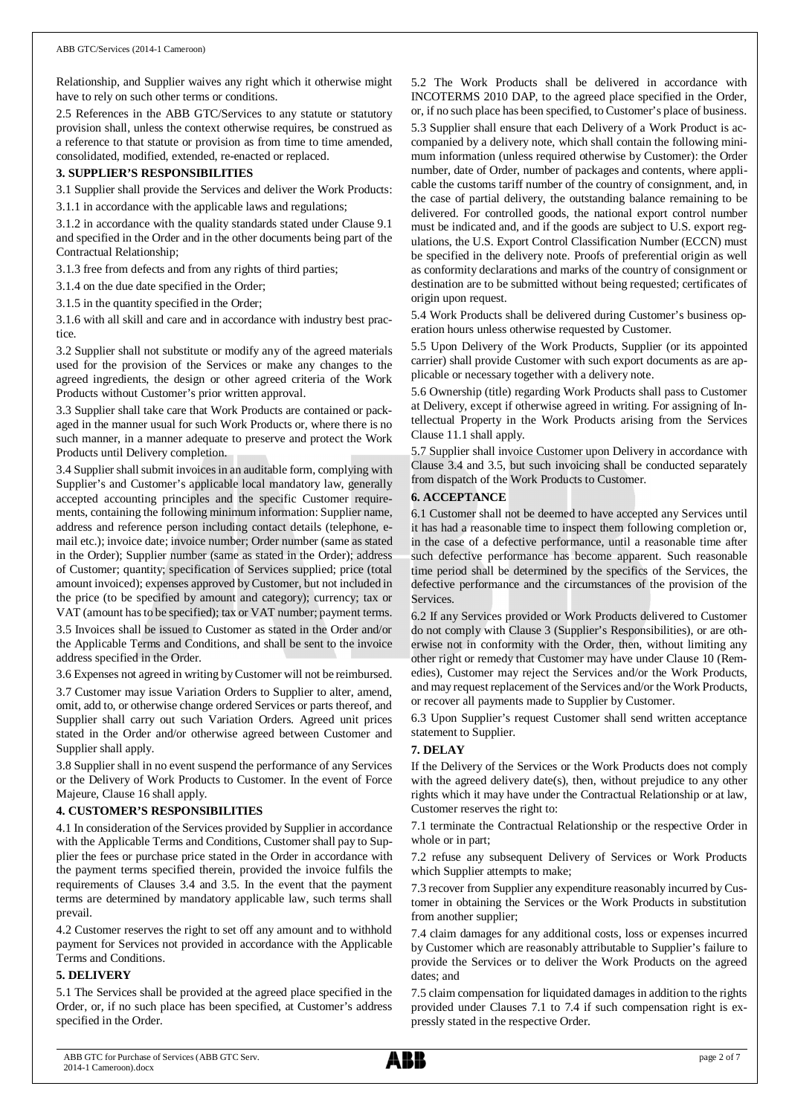Relationship, and Supplier waives any right which it otherwise might have to rely on such other terms or conditions.

2.5 References in the ABB GTC/Services to any statute or statutory provision shall, unless the context otherwise requires, be construed as a reference to that statute or provision as from time to time amended, consolidated, modified, extended, re-enacted or replaced.

## **3. SUPPLIER'S RESPONSIBILITIES**

3.1 Supplier shall provide the Services and deliver the Work Products:

3.1.1 in accordance with the applicable laws and regulations;

3.1.2 in accordance with the quality standards stated under Clause 9.1 and specified in the Order and in the other documents being part of the Contractual Relationship;

3.1.3 free from defects and from any rights of third parties;

3.1.4 on the due date specified in the Order;

3.1.5 in the quantity specified in the Order;

3.1.6 with all skill and care and in accordance with industry best practice.

3.2 Supplier shall not substitute or modify any of the agreed materials used for the provision of the Services or make any changes to the agreed ingredients, the design or other agreed criteria of the Work Products without Customer's prior written approval.

3.3 Supplier shall take care that Work Products are contained or packaged in the manner usual for such Work Products or, where there is no such manner, in a manner adequate to preserve and protect the Work Products until Delivery completion.

3.4 Supplier shall submit invoices in an auditable form, complying with Supplier's and Customer's applicable local mandatory law, generally accepted accounting principles and the specific Customer requirements, containing the following minimum information: Supplier name, address and reference person including contact details (telephone, email etc.); invoice date; invoice number; Order number (same as stated in the Order); Supplier number (same as stated in the Order); address of Customer; quantity; specification of Services supplied; price (total amount invoiced); expenses approved by Customer, but not included in the price (to be specified by amount and category); currency; tax or VAT (amount has to be specified); tax or VAT number; payment terms. 3.5 Invoices shall be issued to Customer as stated in the Order and/or

the Applicable Terms and Conditions, and shall be sent to the invoice address specified in the Order.

3.6 Expenses not agreed in writing by Customer will not be reimbursed.

3.7 Customer may issue Variation Orders to Supplier to alter, amend, omit, add to, or otherwise change ordered Services or parts thereof, and Supplier shall carry out such Variation Orders. Agreed unit prices stated in the Order and/or otherwise agreed between Customer and Supplier shall apply.

3.8 Supplier shall in no event suspend the performance of any Services or the Delivery of Work Products to Customer. In the event of Force Majeure, Clause 16 shall apply.

## **4. CUSTOMER'S RESPONSIBILITIES**

4.1 In consideration of the Services provided by Supplier in accordance with the Applicable Terms and Conditions, Customer shall pay to Supplier the fees or purchase price stated in the Order in accordance with the payment terms specified therein, provided the invoice fulfils the requirements of Clauses 3.4 and 3.5. In the event that the payment terms are determined by mandatory applicable law, such terms shall prevail.

4.2 Customer reserves the right to set off any amount and to withhold payment for Services not provided in accordance with the Applicable Terms and Conditions.

## **5. DELIVERY**

5.1 The Services shall be provided at the agreed place specified in the Order, or, if no such place has been specified, at Customer's address specified in the Order.

5.2 The Work Products shall be delivered in accordance with INCOTERMS 2010 DAP, to the agreed place specified in the Order, or, if no such place has been specified, to Customer's place of business. 5.3 Supplier shall ensure that each Delivery of a Work Product is accompanied by a delivery note, which shall contain the following minimum information (unless required otherwise by Customer): the Order number, date of Order, number of packages and contents, where applicable the customs tariff number of the country of consignment, and, in the case of partial delivery, the outstanding balance remaining to be delivered. For controlled goods, the national export control number must be indicated and, and if the goods are subject to U.S. export regulations, the U.S. Export Control Classification Number (ECCN) must be specified in the delivery note. Proofs of preferential origin as well as conformity declarations and marks of the country of consignment or destination are to be submitted without being requested; certificates of origin upon request.

5.4 Work Products shall be delivered during Customer's business operation hours unless otherwise requested by Customer.

5.5 Upon Delivery of the Work Products, Supplier (or its appointed carrier) shall provide Customer with such export documents as are applicable or necessary together with a delivery note.

5.6 Ownership (title) regarding Work Products shall pass to Customer at Delivery, except if otherwise agreed in writing. For assigning of Intellectual Property in the Work Products arising from the Services Clause 11.1 shall apply.

5.7 Supplier shall invoice Customer upon Delivery in accordance with Clause 3.4 and 3.5, but such invoicing shall be conducted separately from dispatch of the Work Products to Customer.

## **6. ACCEPTANCE**

6.1 Customer shall not be deemed to have accepted any Services until it has had a reasonable time to inspect them following completion or, in the case of a defective performance, until a reasonable time after such defective performance has become apparent. Such reasonable time period shall be determined by the specifics of the Services, the defective performance and the circumstances of the provision of the Services.

6.2 If any Services provided or Work Products delivered to Customer do not comply with Clause 3 (Supplier's Responsibilities), or are otherwise not in conformity with the Order, then, without limiting any other right or remedy that Customer may have under Clause 10 (Remedies), Customer may reject the Services and/or the Work Products, and may request replacement of the Services and/or the Work Products, or recover all payments made to Supplier by Customer.

6.3 Upon Supplier's request Customer shall send written acceptance statement to Supplier.

## **7. DELAY**

If the Delivery of the Services or the Work Products does not comply with the agreed delivery date(s), then, without prejudice to any other rights which it may have under the Contractual Relationship or at law, Customer reserves the right to:

7.1 terminate the Contractual Relationship or the respective Order in whole or in part;

7.2 refuse any subsequent Delivery of Services or Work Products which Supplier attempts to make;

7.3 recover from Supplier any expenditure reasonably incurred by Customer in obtaining the Services or the Work Products in substitution from another supplier;

7.4 claim damages for any additional costs, loss or expenses incurred by Customer which are reasonably attributable to Supplier's failure to provide the Services or to deliver the Work Products on the agreed dates; and

7.5 claim compensation for liquidated damages in addition to the rights provided under Clauses 7.1 to 7.4 if such compensation right is expressly stated in the respective Order.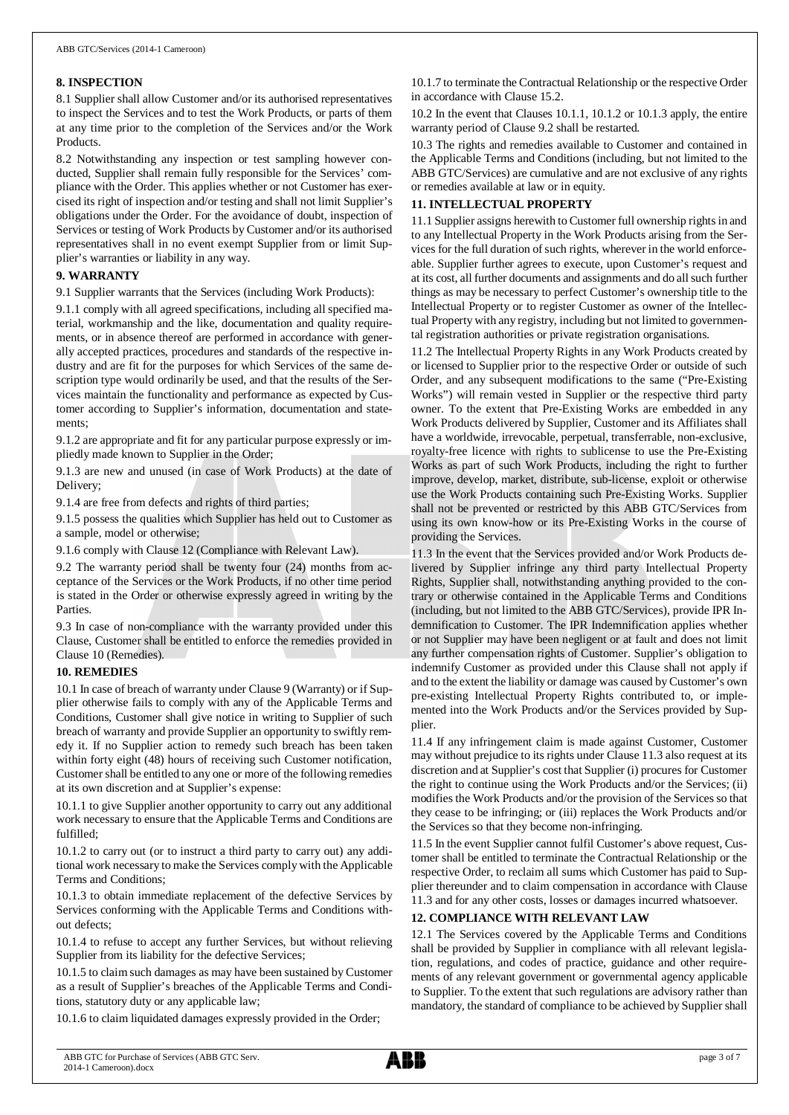## **8. INSPECTION**

8.1 Supplier shall allow Customer and/or its authorised representatives to inspect the Services and to test the Work Products, or parts of them at any time prior to the completion of the Services and/or the Work Products.

8.2 Notwithstanding any inspection or test sampling however conducted, Supplier shall remain fully responsible for the Services' compliance with the Order. This applies whether or not Customer has exercised its right of inspection and/or testing and shall not limit Supplier's obligations under the Order. For the avoidance of doubt, inspection of Services or testing of Work Products by Customer and/or its authorised representatives shall in no event exempt Supplier from or limit Supplier's warranties or liability in any way.

## **9. WARRANTY**

9.1 Supplier warrants that the Services (including Work Products):

9.1.1 comply with all agreed specifications, including all specified material, workmanship and the like, documentation and quality requirements, or in absence thereof are performed in accordance with generally accepted practices, procedures and standards of the respective industry and are fit for the purposes for which Services of the same description type would ordinarily be used, and that the results of the Services maintain the functionality and performance as expected by Customer according to Supplier's information, documentation and statements;

9.1.2 are appropriate and fit for any particular purpose expressly or impliedly made known to Supplier in the Order;

9.1.3 are new and unused (in case of Work Products) at the date of Delivery;

9.1.4 are free from defects and rights of third parties;

9.1.5 possess the qualities which Supplier has held out to Customer as a sample, model or otherwise;

9.1.6 comply with Clause 12 (Compliance with Relevant Law).

9.2 The warranty period shall be twenty four (24) months from acceptance of the Services or the Work Products, if no other time period is stated in the Order or otherwise expressly agreed in writing by the Parties.

9.3 In case of non-compliance with the warranty provided under this Clause, Customer shall be entitled to enforce the remedies provided in Clause 10 (Remedies).

## **10. REMEDIES**

10.1 In case of breach of warranty under Clause 9 (Warranty) or if Supplier otherwise fails to comply with any of the Applicable Terms and Conditions, Customer shall give notice in writing to Supplier of such breach of warranty and provide Supplier an opportunity to swiftly remedy it. If no Supplier action to remedy such breach has been taken within forty eight (48) hours of receiving such Customer notification, Customer shall be entitled to any one or more of the following remedies at its own discretion and at Supplier's expense:

10.1.1 to give Supplier another opportunity to carry out any additional work necessary to ensure that the Applicable Terms and Conditions are fulfilled;

10.1.2 to carry out (or to instruct a third party to carry out) any additional work necessary to make the Services comply with the Applicable Terms and Conditions;

10.1.3 to obtain immediate replacement of the defective Services by Services conforming with the Applicable Terms and Conditions without defects;

10.1.4 to refuse to accept any further Services, but without relieving Supplier from its liability for the defective Services;

10.1.5 to claim such damages as may have been sustained by Customer as a result of Supplier's breaches of the Applicable Terms and Conditions, statutory duty or any applicable law;

10.1.6 to claim liquidated damages expressly provided in the Order;

10.1.7 to terminate the Contractual Relationship or the respective Order in accordance with Clause 15.2.

10.2 In the event that Clauses 10.1.1, 10.1.2 or 10.1.3 apply, the entire warranty period of Clause 9.2 shall be restarted.

10.3 The rights and remedies available to Customer and contained in the Applicable Terms and Conditions (including, but not limited to the ABB GTC/Services) are cumulative and are not exclusive of any rights or remedies available at law or in equity.

## **11. INTELLECTUAL PROPERTY**

11.1 Supplier assigns herewith to Customer full ownership rights in and to any Intellectual Property in the Work Products arising from the Services for the full duration of such rights, wherever in the world enforceable. Supplier further agrees to execute, upon Customer's request and at its cost, all further documents and assignments and do all such further things as may be necessary to perfect Customer's ownership title to the Intellectual Property or to register Customer as owner of the Intellectual Property with any registry, including but not limited to governmental registration authorities or private registration organisations.

11.2 The Intellectual Property Rights in any Work Products created by or licensed to Supplier prior to the respective Order or outside of such Order, and any subsequent modifications to the same ("Pre-Existing Works") will remain vested in Supplier or the respective third party owner. To the extent that Pre-Existing Works are embedded in any Work Products delivered by Supplier, Customer and its Affiliates shall have a worldwide, irrevocable, perpetual, transferrable, non-exclusive, royalty-free licence with rights to sublicense to use the Pre-Existing Works as part of such Work Products, including the right to further improve, develop, market, distribute, sub-license, exploit or otherwise use the Work Products containing such Pre-Existing Works. Supplier shall not be prevented or restricted by this ABB GTC/Services from using its own know-how or its Pre-Existing Works in the course of providing the Services.

11.3 In the event that the Services provided and/or Work Products delivered by Supplier infringe any third party Intellectual Property Rights, Supplier shall, notwithstanding anything provided to the contrary or otherwise contained in the Applicable Terms and Conditions (including, but not limited to the ABB GTC/Services), provide IPR Indemnification to Customer. The IPR Indemnification applies whether or not Supplier may have been negligent or at fault and does not limit any further compensation rights of Customer. Supplier's obligation to indemnify Customer as provided under this Clause shall not apply if and to the extent the liability or damage was caused by Customer's own pre-existing Intellectual Property Rights contributed to, or implemented into the Work Products and/or the Services provided by Supplier.

11.4 If any infringement claim is made against Customer, Customer may without prejudice to its rights under Clause 11.3 also request at its discretion and at Supplier's cost that Supplier (i) procures for Customer the right to continue using the Work Products and/or the Services; (ii) modifies the Work Products and/or the provision of the Services so that they cease to be infringing; or (iii) replaces the Work Products and/or the Services so that they become non-infringing.

11.5 In the event Supplier cannot fulfil Customer's above request, Customer shall be entitled to terminate the Contractual Relationship or the respective Order, to reclaim all sums which Customer has paid to Supplier thereunder and to claim compensation in accordance with Clause 11.3 and for any other costs, losses or damages incurred whatsoever.

## **12. COMPLIANCE WITH RELEVANT LAW**

12.1 The Services covered by the Applicable Terms and Conditions shall be provided by Supplier in compliance with all relevant legislation, regulations, and codes of practice, guidance and other requirements of any relevant government or governmental agency applicable to Supplier. To the extent that such regulations are advisory rather than mandatory, the standard of compliance to be achieved by Supplier shall

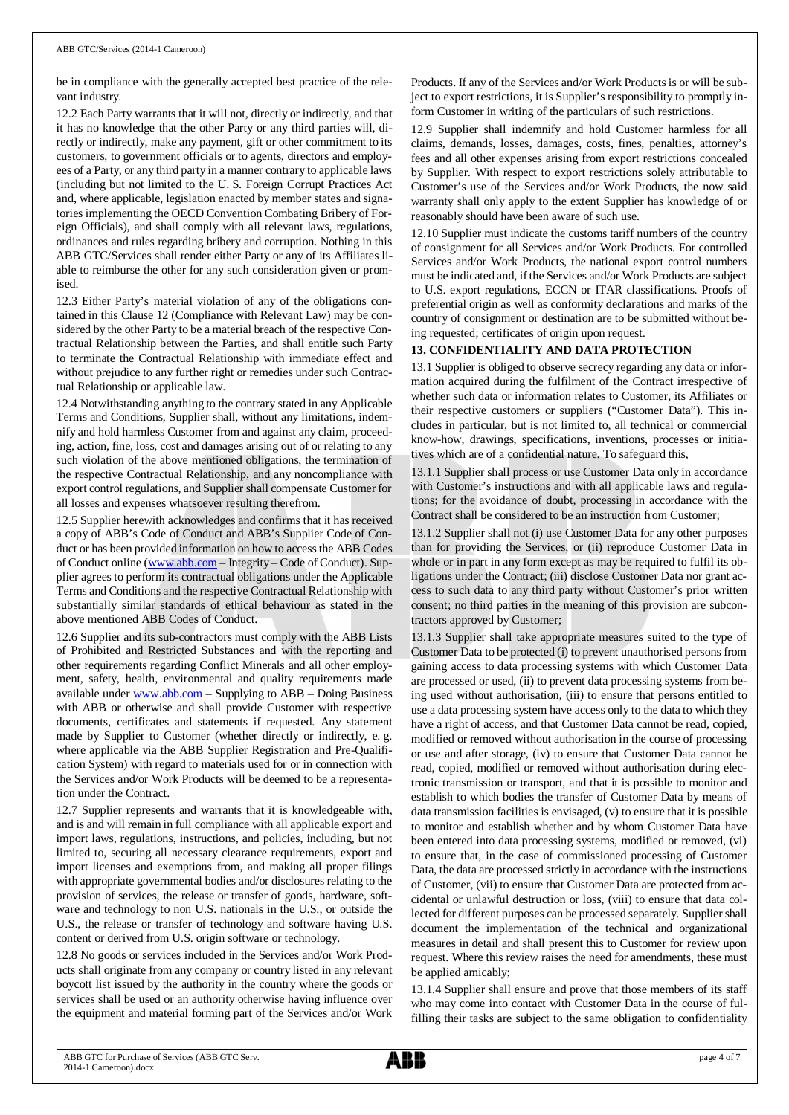be in compliance with the generally accepted best practice of the relevant industry.

12.2 Each Party warrants that it will not, directly or indirectly, and that it has no knowledge that the other Party or any third parties will, directly or indirectly, make any payment, gift or other commitment to its customers, to government officials or to agents, directors and employees of a Party, or any third party in a manner contrary to applicable laws (including but not limited to the U. S. Foreign Corrupt Practices Act and, where applicable, legislation enacted by member states and signatories implementing the OECD Convention Combating Bribery of Foreign Officials), and shall comply with all relevant laws, regulations, ordinances and rules regarding bribery and corruption. Nothing in this ABB GTC/Services shall render either Party or any of its Affiliates liable to reimburse the other for any such consideration given or promised.

12.3 Either Party's material violation of any of the obligations contained in this Clause 12 (Compliance with Relevant Law) may be considered by the other Party to be a material breach of the respective Contractual Relationship between the Parties, and shall entitle such Party to terminate the Contractual Relationship with immediate effect and without prejudice to any further right or remedies under such Contractual Relationship or applicable law.

12.4 Notwithstanding anything to the contrary stated in any Applicable Terms and Conditions, Supplier shall, without any limitations, indemnify and hold harmless Customer from and against any claim, proceeding, action, fine, loss, cost and damages arising out of or relating to any such violation of the above mentioned obligations, the termination of the respective Contractual Relationship, and any noncompliance with export control regulations, and Supplier shall compensate Customer for all losses and expenses whatsoever resulting therefrom.

12.5 Supplier herewith acknowledges and confirms that it has received a copy of ABB's Code of Conduct and ABB's Supplier Code of Conduct or has been provided information on how to access the ABB Codes of Conduct online ([www.abb.com](http://www.abb.com/) – Integrity – Code of Conduct). Supplier agrees to perform its contractual obligations under the Applicable Terms and Conditions and the respective Contractual Relationship with substantially similar standards of ethical behaviour as stated in the above mentioned ABB Codes of Conduct.

12.6 Supplier and its sub-contractors must comply with the ABB Lists of Prohibited and Restricted Substances and with the reporting and other requirements regarding Conflict Minerals and all other employment, safety, health, environmental and quality requirements made available under [www.abb.com](http://www.abb.com/) – Supplying to ABB – Doing Business with ABB or otherwise and shall provide Customer with respective documents, certificates and statements if requested. Any statement made by Supplier to Customer (whether directly or indirectly, e. g. where applicable via the ABB Supplier Registration and Pre-Qualification System) with regard to materials used for or in connection with the Services and/or Work Products will be deemed to be a representation under the Contract.

12.7 Supplier represents and warrants that it is knowledgeable with, and is and will remain in full compliance with all applicable export and import laws, regulations, instructions, and policies, including, but not limited to, securing all necessary clearance requirements, export and import licenses and exemptions from, and making all proper filings with appropriate governmental bodies and/or disclosures relating to the provision of services, the release or transfer of goods, hardware, software and technology to non U.S. nationals in the U.S., or outside the U.S., the release or transfer of technology and software having U.S. content or derived from U.S. origin software or technology.

12.8 No goods or services included in the Services and/or Work Products shall originate from any company or country listed in any relevant boycott list issued by the authority in the country where the goods or services shall be used or an authority otherwise having influence over the equipment and material forming part of the Services and/or Work

Products. If any of the Services and/or Work Products is or will be subject to export restrictions, it is Supplier's responsibility to promptly inform Customer in writing of the particulars of such restrictions.

12.9 Supplier shall indemnify and hold Customer harmless for all claims, demands, losses, damages, costs, fines, penalties, attorney's fees and all other expenses arising from export restrictions concealed by Supplier. With respect to export restrictions solely attributable to Customer's use of the Services and/or Work Products, the now said warranty shall only apply to the extent Supplier has knowledge of or reasonably should have been aware of such use.

12.10 Supplier must indicate the customs tariff numbers of the country of consignment for all Services and/or Work Products. For controlled Services and/or Work Products, the national export control numbers must be indicated and, if the Services and/or Work Products are subject to U.S. export regulations, ECCN or ITAR classifications. Proofs of preferential origin as well as conformity declarations and marks of the country of consignment or destination are to be submitted without being requested; certificates of origin upon request.

## **13. CONFIDENTIALITY AND DATA PROTECTION**

13.1 Supplier is obliged to observe secrecy regarding any data or information acquired during the fulfilment of the Contract irrespective of whether such data or information relates to Customer, its Affiliates or their respective customers or suppliers ("Customer Data"). This includes in particular, but is not limited to, all technical or commercial know-how, drawings, specifications, inventions, processes or initiatives which are of a confidential nature. To safeguard this,

13.1.1 Supplier shall process or use Customer Data only in accordance with Customer's instructions and with all applicable laws and regulations; for the avoidance of doubt, processing in accordance with the Contract shall be considered to be an instruction from Customer;

13.1.2 Supplier shall not (i) use Customer Data for any other purposes than for providing the Services, or (ii) reproduce Customer Data in whole or in part in any form except as may be required to fulfil its obligations under the Contract; (iii) disclose Customer Data nor grant access to such data to any third party without Customer's prior written consent; no third parties in the meaning of this provision are subcontractors approved by Customer;

13.1.3 Supplier shall take appropriate measures suited to the type of Customer Data to be protected (i) to prevent unauthorised persons from gaining access to data processing systems with which Customer Data are processed or used, (ii) to prevent data processing systems from being used without authorisation, (iii) to ensure that persons entitled to use a data processing system have access only to the data to which they have a right of access, and that Customer Data cannot be read, copied, modified or removed without authorisation in the course of processing or use and after storage, (iv) to ensure that Customer Data cannot be read, copied, modified or removed without authorisation during electronic transmission or transport, and that it is possible to monitor and establish to which bodies the transfer of Customer Data by means of data transmission facilities is envisaged, (v) to ensure that it is possible to monitor and establish whether and by whom Customer Data have been entered into data processing systems, modified or removed, (vi) to ensure that, in the case of commissioned processing of Customer Data, the data are processed strictly in accordance with the instructions of Customer, (vii) to ensure that Customer Data are protected from accidental or unlawful destruction or loss, (viii) to ensure that data collected for different purposes can be processed separately. Supplier shall document the implementation of the technical and organizational measures in detail and shall present this to Customer for review upon request. Where this review raises the need for amendments, these must be applied amicably;

13.1.4 Supplier shall ensure and prove that those members of its staff who may come into contact with Customer Data in the course of fulfilling their tasks are subject to the same obligation to confidentiality

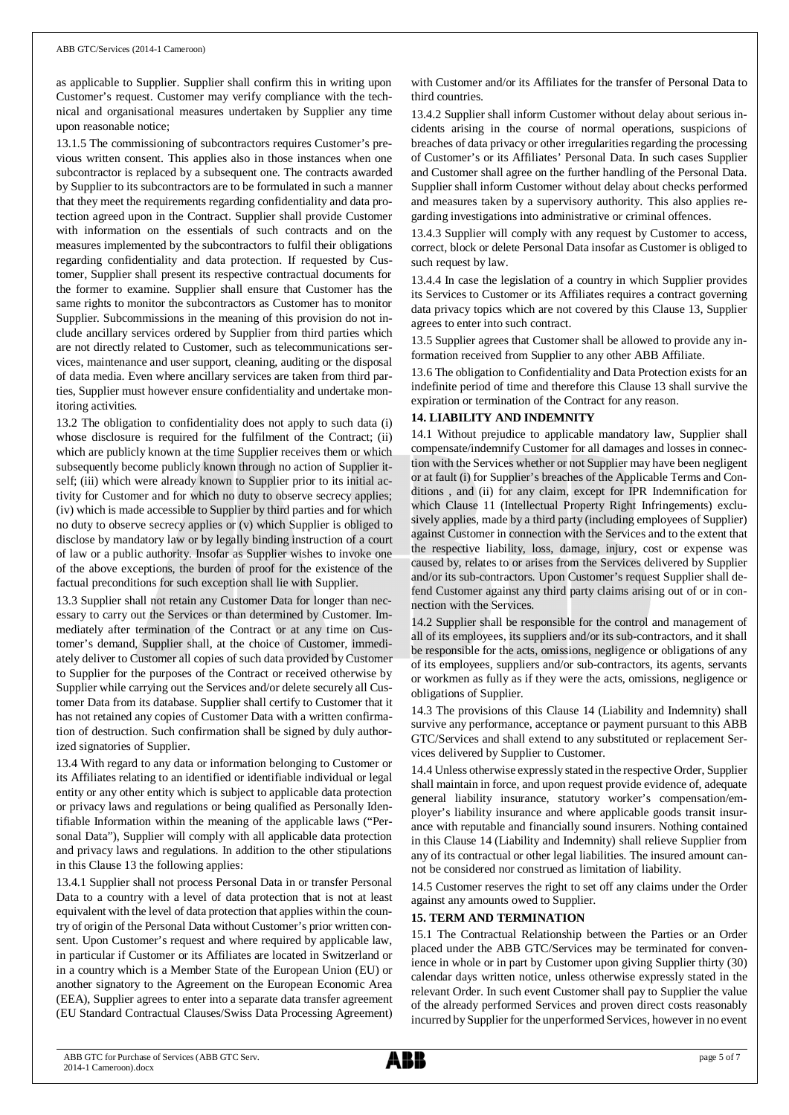as applicable to Supplier. Supplier shall confirm this in writing upon Customer's request. Customer may verify compliance with the technical and organisational measures undertaken by Supplier any time upon reasonable notice;

13.1.5 The commissioning of subcontractors requires Customer's previous written consent. This applies also in those instances when one subcontractor is replaced by a subsequent one. The contracts awarded by Supplier to its subcontractors are to be formulated in such a manner that they meet the requirements regarding confidentiality and data protection agreed upon in the Contract. Supplier shall provide Customer with information on the essentials of such contracts and on the measures implemented by the subcontractors to fulfil their obligations regarding confidentiality and data protection. If requested by Customer, Supplier shall present its respective contractual documents for the former to examine. Supplier shall ensure that Customer has the same rights to monitor the subcontractors as Customer has to monitor Supplier. Subcommissions in the meaning of this provision do not include ancillary services ordered by Supplier from third parties which are not directly related to Customer, such as telecommunications services, maintenance and user support, cleaning, auditing or the disposal of data media. Even where ancillary services are taken from third parties, Supplier must however ensure confidentiality and undertake monitoring activities.

13.2 The obligation to confidentiality does not apply to such data (i) whose disclosure is required for the fulfilment of the Contract; (ii) which are publicly known at the time Supplier receives them or which subsequently become publicly known through no action of Supplier itself; (iii) which were already known to Supplier prior to its initial activity for Customer and for which no duty to observe secrecy applies; (iv) which is made accessible to Supplier by third parties and for which no duty to observe secrecy applies or (v) which Supplier is obliged to disclose by mandatory law or by legally binding instruction of a court of law or a public authority. Insofar as Supplier wishes to invoke one of the above exceptions, the burden of proof for the existence of the factual preconditions for such exception shall lie with Supplier.

13.3 Supplier shall not retain any Customer Data for longer than necessary to carry out the Services or than determined by Customer. Immediately after termination of the Contract or at any time on Customer's demand, Supplier shall, at the choice of Customer, immediately deliver to Customer all copies of such data provided by Customer to Supplier for the purposes of the Contract or received otherwise by Supplier while carrying out the Services and/or delete securely all Customer Data from its database. Supplier shall certify to Customer that it has not retained any copies of Customer Data with a written confirmation of destruction. Such confirmation shall be signed by duly authorized signatories of Supplier.

13.4 With regard to any data or information belonging to Customer or its Affiliates relating to an identified or identifiable individual or legal entity or any other entity which is subject to applicable data protection or privacy laws and regulations or being qualified as Personally Identifiable Information within the meaning of the applicable laws ("Personal Data"), Supplier will comply with all applicable data protection and privacy laws and regulations. In addition to the other stipulations in this Clause 13 the following applies:

13.4.1 Supplier shall not process Personal Data in or transfer Personal Data to a country with a level of data protection that is not at least equivalent with the level of data protection that applies within the country of origin of the Personal Data without Customer's prior written consent. Upon Customer's request and where required by applicable law, in particular if Customer or its Affiliates are located in Switzerland or in a country which is a Member State of the European Union (EU) or another signatory to the Agreement on the European Economic Area (EEA), Supplier agrees to enter into a separate data transfer agreement (EU Standard Contractual Clauses/Swiss Data Processing Agreement) with Customer and/or its Affiliates for the transfer of Personal Data to third countries.

13.4.2 Supplier shall inform Customer without delay about serious incidents arising in the course of normal operations, suspicions of breaches of data privacy or other irregularities regarding the processing of Customer's or its Affiliates' Personal Data. In such cases Supplier and Customer shall agree on the further handling of the Personal Data. Supplier shall inform Customer without delay about checks performed and measures taken by a supervisory authority. This also applies regarding investigations into administrative or criminal offences.

13.4.3 Supplier will comply with any request by Customer to access, correct, block or delete Personal Data insofar as Customer is obliged to such request by law.

13.4.4 In case the legislation of a country in which Supplier provides its Services to Customer or its Affiliates requires a contract governing data privacy topics which are not covered by this Clause 13, Supplier agrees to enter into such contract.

13.5 Supplier agrees that Customer shall be allowed to provide any information received from Supplier to any other ABB Affiliate.

13.6 The obligation to Confidentiality and Data Protection exists for an indefinite period of time and therefore this Clause 13 shall survive the expiration or termination of the Contract for any reason.

## **14. LIABILITY AND INDEMNITY**

14.1 Without prejudice to applicable mandatory law, Supplier shall compensate/indemnify Customer for all damages and losses in connection with the Services whether or not Supplier may have been negligent or at fault (i) for Supplier's breaches of the Applicable Terms and Conditions , and (ii) for any claim, except for IPR Indemnification for which Clause 11 (Intellectual Property Right Infringements) exclusively applies, made by a third party (including employees of Supplier) against Customer in connection with the Services and to the extent that the respective liability, loss, damage, injury, cost or expense was caused by, relates to or arises from the Services delivered by Supplier and/or its sub-contractors. Upon Customer's request Supplier shall defend Customer against any third party claims arising out of or in connection with the Services.

14.2 Supplier shall be responsible for the control and management of all of its employees, its suppliers and/or its sub-contractors, and it shall be responsible for the acts, omissions, negligence or obligations of any of its employees, suppliers and/or sub-contractors, its agents, servants or workmen as fully as if they were the acts, omissions, negligence or obligations of Supplier.

14.3 The provisions of this Clause 14 (Liability and Indemnity) shall survive any performance, acceptance or payment pursuant to this ABB GTC/Services and shall extend to any substituted or replacement Services delivered by Supplier to Customer.

14.4 Unless otherwise expressly stated in the respective Order, Supplier shall maintain in force, and upon request provide evidence of, adequate general liability insurance, statutory worker's compensation/employer's liability insurance and where applicable goods transit insurance with reputable and financially sound insurers. Nothing contained in this Clause 14 (Liability and Indemnity) shall relieve Supplier from any of its contractual or other legal liabilities. The insured amount cannot be considered nor construed as limitation of liability.

14.5 Customer reserves the right to set off any claims under the Order against any amounts owed to Supplier.

## **15. TERM AND TERMINATION**

15.1 The Contractual Relationship between the Parties or an Order placed under the ABB GTC/Services may be terminated for convenience in whole or in part by Customer upon giving Supplier thirty (30) calendar days written notice, unless otherwise expressly stated in the relevant Order. In such event Customer shall pay to Supplier the value of the already performed Services and proven direct costs reasonably incurred by Supplier for the unperformed Services, however in no event

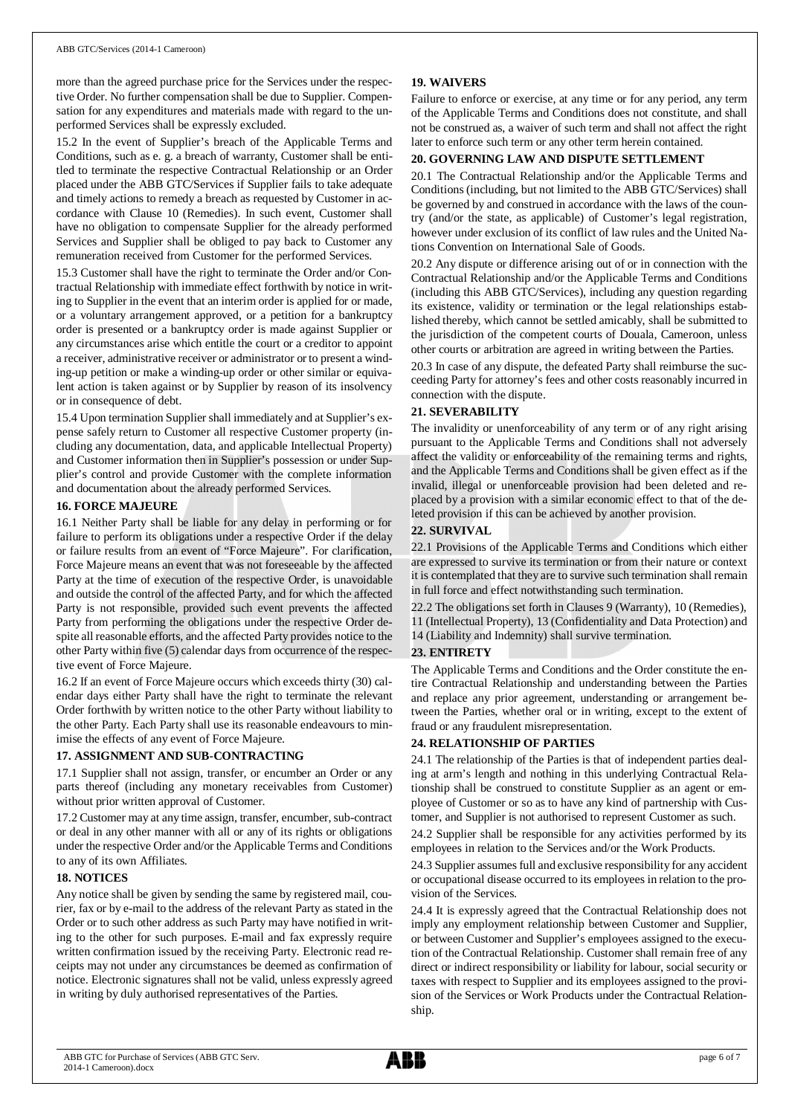more than the agreed purchase price for the Services under the respective Order. No further compensation shall be due to Supplier. Compensation for any expenditures and materials made with regard to the unperformed Services shall be expressly excluded.

15.2 In the event of Supplier's breach of the Applicable Terms and Conditions, such as e. g. a breach of warranty, Customer shall be entitled to terminate the respective Contractual Relationship or an Order placed under the ABB GTC/Services if Supplier fails to take adequate and timely actions to remedy a breach as requested by Customer in accordance with Clause 10 (Remedies). In such event, Customer shall have no obligation to compensate Supplier for the already performed Services and Supplier shall be obliged to pay back to Customer any remuneration received from Customer for the performed Services.

15.3 Customer shall have the right to terminate the Order and/or Contractual Relationship with immediate effect forthwith by notice in writing to Supplier in the event that an interim order is applied for or made, or a voluntary arrangement approved, or a petition for a bankruptcy order is presented or a bankruptcy order is made against Supplier or any circumstances arise which entitle the court or a creditor to appoint a receiver, administrative receiver or administrator or to present a winding-up petition or make a winding-up order or other similar or equivalent action is taken against or by Supplier by reason of its insolvency or in consequence of debt.

15.4 Upon termination Supplier shall immediately and at Supplier's expense safely return to Customer all respective Customer property (including any documentation, data, and applicable Intellectual Property) and Customer information then in Supplier's possession or under Supplier's control and provide Customer with the complete information and documentation about the already performed Services.

#### **16. FORCE MAJEURE**

16.1 Neither Party shall be liable for any delay in performing or for failure to perform its obligations under a respective Order if the delay or failure results from an event of "Force Majeure". For clarification, Force Majeure means an event that was not foreseeable by the affected Party at the time of execution of the respective Order, is unavoidable and outside the control of the affected Party, and for which the affected Party is not responsible, provided such event prevents the affected Party from performing the obligations under the respective Order despite all reasonable efforts, and the affected Party provides notice to the other Party within five (5) calendar days from occurrence of the respective event of Force Majeure.

16.2 If an event of Force Majeure occurs which exceeds thirty (30) calendar days either Party shall have the right to terminate the relevant Order forthwith by written notice to the other Party without liability to the other Party. Each Party shall use its reasonable endeavours to minimise the effects of any event of Force Majeure.

## **17. ASSIGNMENT AND SUB-CONTRACTING**

17.1 Supplier shall not assign, transfer, or encumber an Order or any parts thereof (including any monetary receivables from Customer) without prior written approval of Customer.

17.2 Customer may at any time assign, transfer, encumber, sub-contract or deal in any other manner with all or any of its rights or obligations under the respective Order and/or the Applicable Terms and Conditions to any of its own Affiliates.

#### **18. NOTICES**

Any notice shall be given by sending the same by registered mail, courier, fax or by e-mail to the address of the relevant Party as stated in the Order or to such other address as such Party may have notified in writing to the other for such purposes. E-mail and fax expressly require written confirmation issued by the receiving Party. Electronic read receipts may not under any circumstances be deemed as confirmation of notice. Electronic signatures shall not be valid, unless expressly agreed in writing by duly authorised representatives of the Parties.

## **19. WAIVERS**

Failure to enforce or exercise, at any time or for any period, any term of the Applicable Terms and Conditions does not constitute, and shall not be construed as, a waiver of such term and shall not affect the right later to enforce such term or any other term herein contained.

## **20. GOVERNING LAW AND DISPUTE SETTLEMENT**

20.1 The Contractual Relationship and/or the Applicable Terms and Conditions (including, but not limited to the ABB GTC/Services) shall be governed by and construed in accordance with the laws of the country (and/or the state, as applicable) of Customer's legal registration, however under exclusion of its conflict of law rules and the United Nations Convention on International Sale of Goods.

20.2 Any dispute or difference arising out of or in connection with the Contractual Relationship and/or the Applicable Terms and Conditions (including this ABB GTC/Services), including any question regarding its existence, validity or termination or the legal relationships established thereby, which cannot be settled amicably, shall be submitted to the jurisdiction of the competent courts of Douala, Cameroon, unless other courts or arbitration are agreed in writing between the Parties.

20.3 In case of any dispute, the defeated Party shall reimburse the succeeding Party for attorney's fees and other costs reasonably incurred in connection with the dispute.

## **21. SEVERABILITY**

The invalidity or unenforceability of any term or of any right arising pursuant to the Applicable Terms and Conditions shall not adversely affect the validity or enforceability of the remaining terms and rights, and the Applicable Terms and Conditions shall be given effect as if the invalid, illegal or unenforceable provision had been deleted and replaced by a provision with a similar economic effect to that of the deleted provision if this can be achieved by another provision.

## **22. SURVIVAL**

22.1 Provisions of the Applicable Terms and Conditions which either are expressed to survive its termination or from their nature or context it is contemplated that they are to survive such termination shall remain in full force and effect notwithstanding such termination.

22.2 The obligations set forth in Clauses 9 (Warranty), 10 (Remedies), 11 (Intellectual Property), 13 (Confidentiality and Data Protection) and 14 (Liability and Indemnity) shall survive termination.

## **23. ENTIRETY**

The Applicable Terms and Conditions and the Order constitute the entire Contractual Relationship and understanding between the Parties and replace any prior agreement, understanding or arrangement between the Parties, whether oral or in writing, except to the extent of fraud or any fraudulent misrepresentation.

## **24. RELATIONSHIP OF PARTIES**

24.1 The relationship of the Parties is that of independent parties dealing at arm's length and nothing in this underlying Contractual Relationship shall be construed to constitute Supplier as an agent or employee of Customer or so as to have any kind of partnership with Customer, and Supplier is not authorised to represent Customer as such.

24.2 Supplier shall be responsible for any activities performed by its employees in relation to the Services and/or the Work Products.

24.3 Supplier assumes full and exclusive responsibility for any accident or occupational disease occurred to its employees in relation to the provision of the Services.

24.4 It is expressly agreed that the Contractual Relationship does not imply any employment relationship between Customer and Supplier, or between Customer and Supplier's employees assigned to the execution of the Contractual Relationship. Customer shall remain free of any direct or indirect responsibility or liability for labour, social security or taxes with respect to Supplier and its employees assigned to the provision of the Services or Work Products under the Contractual Relationship.